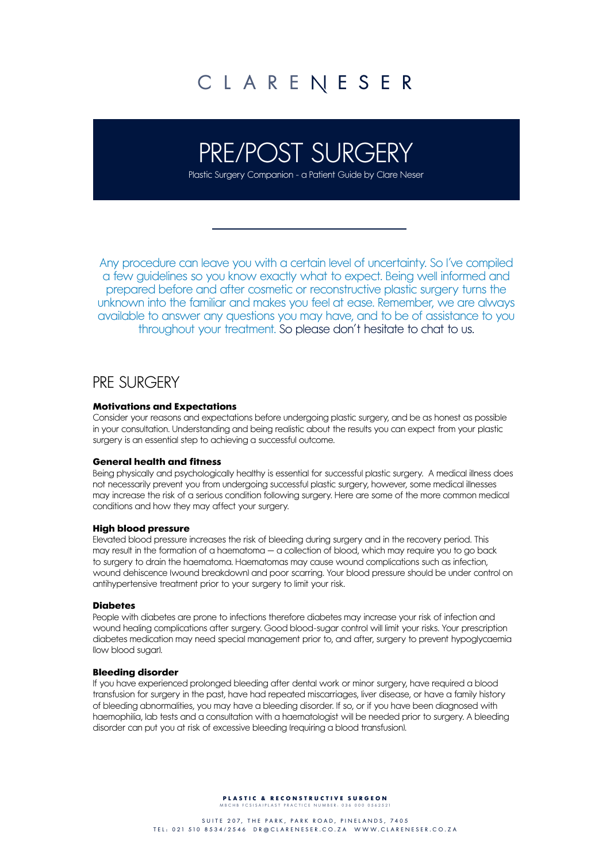# PRE/POST SURGERY

Plastic Surgery Companion - a Patient Guide by Clare Neser

Any procedure can leave you with a certain level of uncertainty. So I've compiled a few guidelines so you know exactly what to expect. Being well informed and prepared before and after cosmetic or reconstructive plastic surgery turns the unknown into the familiar and makes you feel at ease. Remember, we are always available to answer any questions you may have, and to be of assistance to you throughout your treatment. So please don't hesitate to chat to us.

## PRE SURGERY

## **Motivations and Expectations**

Consider your reasons and expectations before undergoing plastic surgery, and be as honest as possible in your consultation. Understanding and being realistic about the results you can expect from your plastic surgery is an essential step to achieving a successful outcome.

## **General health and fitness**

Being physically and psychologically healthy is essential for successful plastic surgery. A medical illness does not necessarily prevent you from undergoing successful plastic surgery, however, some medical illnesses may increase the risk of a serious condition following surgery. Here are some of the more common medical conditions and how they may affect your surgery.

## **High blood pressure**

Elevated blood pressure increases the risk of bleeding during surgery and in the recovery period. This may result in the formation of a haematoma − a collection of blood, which may require you to go back to surgery to drain the haematoma. Haematomas may cause wound complications such as infection, wound dehiscence (wound breakdown) and poor scarring. Your blood pressure should be under control on antihypertensive treatment prior to your surgery to limit your risk.

## **Diabetes**

People with diabetes are prone to infections therefore diabetes may increase your risk of infection and wound healing complications after surgery. Good blood-sugar control will limit your risks. Your prescription diabetes medication may need special management prior to, and after, surgery to prevent hypoglycaemia (low blood sugar).

## **Bleeding disorder**

If you have experienced prolonged bleeding after dental work or minor surgery, have required a blood transfusion for surgery in the past, have had repeated miscarriages, liver disease, or have a family history of bleeding abnormalities, you may have a bleeding disorder. If so, or if you have been diagnosed with haemophilia, lab tests and a consultation with a haematologist will be needed prior to surgery. A bleeding disorder can put you at risk of excessive bleeding (requiring a blood transfusion).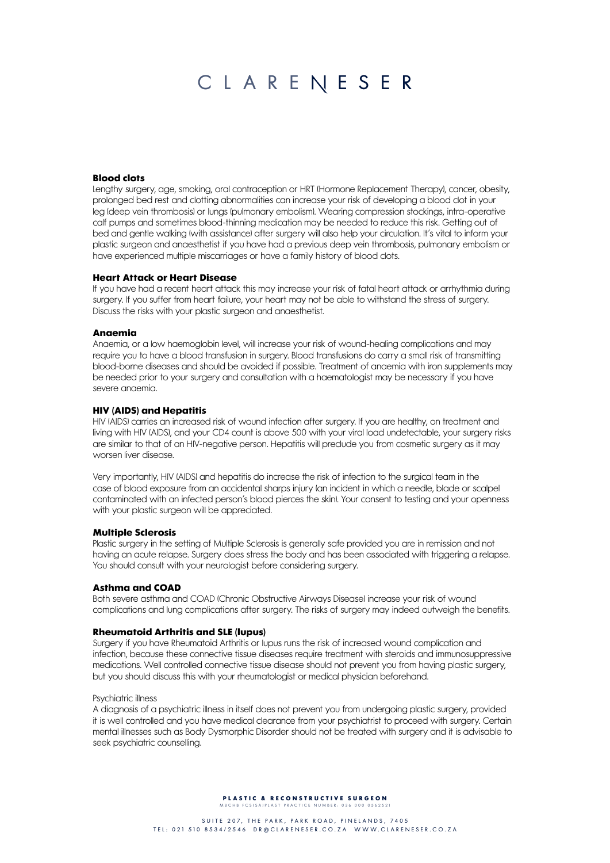## **Blood clots**

Lengthy surgery, age, smoking, oral contraception or HRT (Hormone Replacement Therapy), cancer, obesity, prolonged bed rest and clotting abnormalities can increase your risk of developing a blood clot in your leg (deep vein thrombosis) or lungs (pulmonary embolism). Wearing compression stockings, intra-operative calf pumps and sometimes blood-thinning medication may be needed to reduce this risk. Getting out of bed and gentle walking (with assistance) after surgery will also help your circulation. It's vital to inform your plastic surgeon and anaesthetist if you have had a previous deep vein thrombosis, pulmonary embolism or have experienced multiple miscarriages or have a family history of blood clots.

### **Heart Attack or Heart Disease**

If you have had a recent heart attack this may increase your risk of fatal heart attack or arrhythmia during surgery. If you suffer from heart failure, your heart may not be able to withstand the stress of surgery. Discuss the risks with your plastic surgeon and anaesthetist.

## **Anaemia**

Anaemia, or a low haemoglobin level, will increase your risk of wound-healing complications and may require you to have a blood transfusion in surgery. Blood transfusions do carry a small risk of transmitting blood-borne diseases and should be avoided if possible. Treatment of anaemia with iron supplements may be needed prior to your surgery and consultation with a haematologist may be necessary if you have severe anaemia.

## **HIV (AIDS) and Hepatitis**

HIV (AIDS) carries an increased risk of wound infection after surgery. If you are healthy, on treatment and living with HIV (AIDS), and your CD4 count is above 500 with your viral load undetectable, your surgery risks are similar to that of an HIV-negative person. Hepatitis will preclude you from cosmetic surgery as it may worsen liver disease.

Very importantly, HIV (AIDS) and hepatitis do increase the risk of infection to the surgical team in the case of blood exposure from an accidental sharps injury (an incident in which a needle, blade or scalpel contaminated with an infected person's blood pierces the skin). Your consent to testing and your openness with your plastic surgeon will be appreciated.

## **Multiple Sclerosis**

Plastic surgery in the setting of Multiple Sclerosis is generally safe provided you are in remission and not having an acute relapse. Surgery does stress the body and has been associated with triggering a relapse. You should consult with your neurologist before considering surgery.

## **Asthma and COAD**

Both severe asthma and COAD (Chronic Obstructive Airways Disease) increase your risk of wound complications and lung complications after surgery. The risks of surgery may indeed outweigh the benefits.

## **Rheumatoid Arthritis and SLE (lupus)**

Surgery if you have Rheumatoid Arthritis or lupus runs the risk of increased wound complication and infection, because these connective tissue diseases require treatment with steroids and immunosuppressive medications. Well controlled connective tissue disease should not prevent you from having plastic surgery, but you should discuss this with your rheumatologist or medical physician beforehand.

### Psychiatric illness

A diagnosis of a psychiatric illness in itself does not prevent you from undergoing plastic surgery, provided it is well controlled and you have medical clearance from your psychiatrist to proceed with surgery. Certain mental illnesses such as Body Dysmorphic Disorder should not be treated with surgery and it is advisable to seek psychiatric counselling.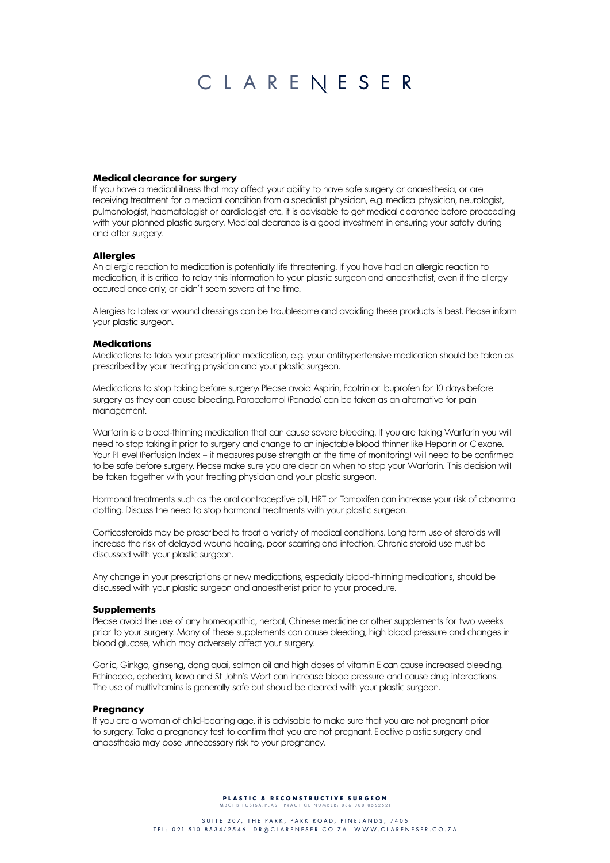## **Medical clearance for surgery**

If you have a medical illness that may affect your ability to have safe surgery or anaesthesia, or are receiving treatment for a medical condition from a specialist physician, e.g. medical physician, neurologist, pulmonologist, haematologist or cardiologist etc. it is advisable to get medical clearance before proceeding with your planned plastic surgery. Medical clearance is a good investment in ensuring your safety during and after surgery.

## **Allergies**

An allergic reaction to medication is potentially life threatening. If you have had an allergic reaction to medication, it is critical to relay this information to your plastic surgeon and anaesthetist, even if the allergy occured once only, or didn't seem severe at the time.

Allergies to Latex or wound dressings can be troublesome and avoiding these products is best. Please inform your plastic surgeon.

## **Medications**

Medications to take: your prescription medication, e.g. your antihypertensive medication should be taken as prescribed by your treating physician and your plastic surgeon.

Medications to stop taking before surgery: Please avoid Aspirin, Ecotrin or Ibuprofen for 10 days before surgery as they can cause bleeding. Paracetamol (Panado) can be taken as an alternative for pain management.

Warfarin is a blood-thinning medication that can cause severe bleeding. If you are taking Warfarin you will need to stop taking it prior to surgery and change to an injectable blood thinner like Heparin or Clexane. Your PI level (Perfusion Index – it measures pulse strength at the time of monitoring) will need to be confirmed to be safe before surgery. Please make sure you are clear on when to stop your Warfarin. This decision will be taken together with your treating physician and your plastic surgeon.

Hormonal treatments such as the oral contraceptive pill, HRT or Tamoxifen can increase your risk of abnormal clotting. Discuss the need to stop hormonal treatments with your plastic surgeon.

Corticosteroids may be prescribed to treat a variety of medical conditions. Long term use of steroids will increase the risk of delayed wound healing, poor scarring and infection. Chronic steroid use must be discussed with your plastic surgeon.

Any change in your prescriptions or new medications, especially blood-thinning medications, should be discussed with your plastic surgeon and anaesthetist prior to your procedure.

## **Supplements**

Please avoid the use of any homeopathic, herbal, Chinese medicine or other supplements for two weeks prior to your surgery. Many of these supplements can cause bleeding, high blood pressure and changes in blood glucose, which may adversely affect your surgery.

Garlic, Ginkgo, ginseng, dong quai, salmon oil and high doses of vitamin E can cause increased bleeding. Echinacea, ephedra, kava and St John's Wort can increase blood pressure and cause drug interactions. The use of multivitamins is generally safe but should be cleared with your plastic surgeon.

## **Pregnancy**

If you are a woman of child-bearing age, it is advisable to make sure that you are not pregnant prior to surgery. Take a pregnancy test to confirm that you are not pregnant. Elective plastic surgery and anaesthesia may pose unnecessary risk to your pregnancy.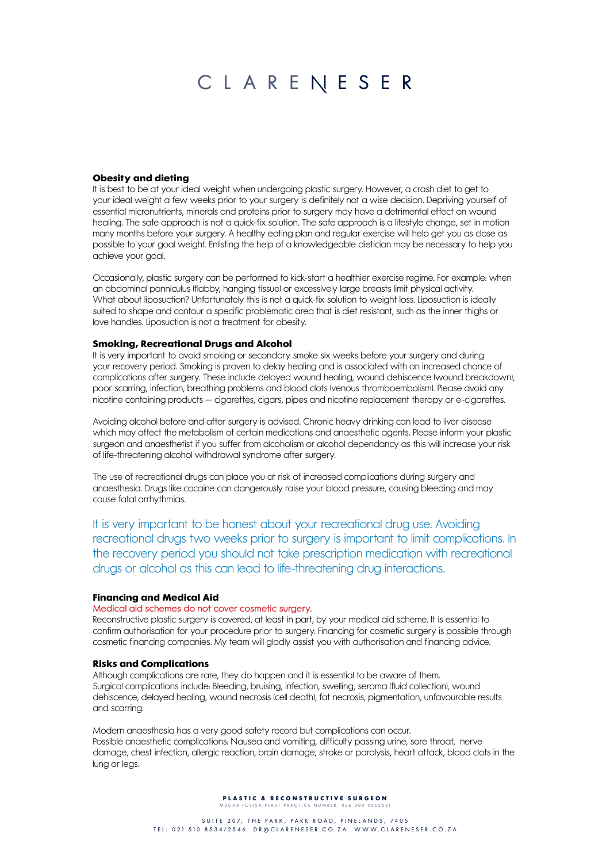## **Obesity and dieting**

It is best to be at your ideal weight when undergoing plastic surgery. However, a crash diet to get to your ideal weight a few weeks prior to your surgery is definitely not a wise decision. Depriving yourself of essential micronutrients, minerals and proteins prior to surgery may have a detrimental effect on wound healing. The safe approach is not a quick-fix solution. The safe approach is a lifestyle change, set in motion many months before your surgery. A healthy eating plan and regular exercise will help get you as close as possible to your goal weight. Enlisting the help of a knowledgeable dietician may be necessary to help you achieve your goal.

Occasionally, plastic surgery can be performed to kick-start a healthier exercise regime. For example: when an abdominal panniculus (flabby, hanging tissue) or excessively large breasts limit physical activity. What about liposuction? Unfortunately this is not a quick-fix solution to weight loss. Liposuction is ideally suited to shape and contour a specific problematic area that is diet resistant, such as the inner thighs or love handles. Liposuction is not a treatment for obesity.

## **Smoking, Recreational Drugs and Alcohol**

It is very important to avoid smoking or secondary smoke six weeks before your surgery and during your recovery period. Smoking is proven to delay healing and is associated with an increased chance of complications after surgery. These include delayed wound healing, wound dehiscence (wound breakdown), poor scarring, infection, breathing problems and blood clots (venous thromboembolism). Please avoid any nicotine containing products − cigarettes, cigars, pipes and nicotine replacement therapy or e-cigarettes.

Avoiding alcohol before and after surgery is advised. Chronic heavy drinking can lead to liver disease which may affect the metabolism of certain medications and anaesthetic agents. Please inform your plastic surgeon and anaesthetist if you suffer from alcoholism or alcohol dependancy as this will increase your risk of life-threatening alcohol withdrawal syndrome after surgery.

The use of recreational drugs can place you at risk of increased complications during surgery and anaesthesia. Drugs like cocaine can dangerously raise your blood pressure, causing bleeding and may cause fatal arrhythmias.

It is very important to be honest about your recreational drug use. Avoiding recreational drugs two weeks prior to surgery is important to limit complications. In the recovery period you should not take prescription medication with recreational drugs or alcohol as this can lead to life-threatening drug interactions.

## **Financing and Medical Aid**

## Medical aid schemes do not cover cosmetic surgery.

Reconstructive plastic surgery is covered, at least in part, by your medical aid scheme. It is essential to confirm authorisation for your procedure prior to surgery. Financing for cosmetic surgery is possible through cosmetic financing companies. My team will gladly assist you with authorisation and financing advice.

## **Risks and Complications**

Although complications are rare, they do happen and it is essential to be aware of them. Surgical complications include: Bleeding, bruising, infection, swelling, seroma (fluid collection), wound dehiscence, delayed healing, wound necrosis (cell death), fat necrosis, pigmentation, unfavourable results and scarring.

Modern anaesthesia has a very good safety record but complications can occur. Possible anaesthetic complications: Nausea and vomiting, difficulty passing urine, sore throat, nerve damage, chest infection, allergic reaction, brain damage, stroke or paralysis, heart attack, blood clots in the lung or legs.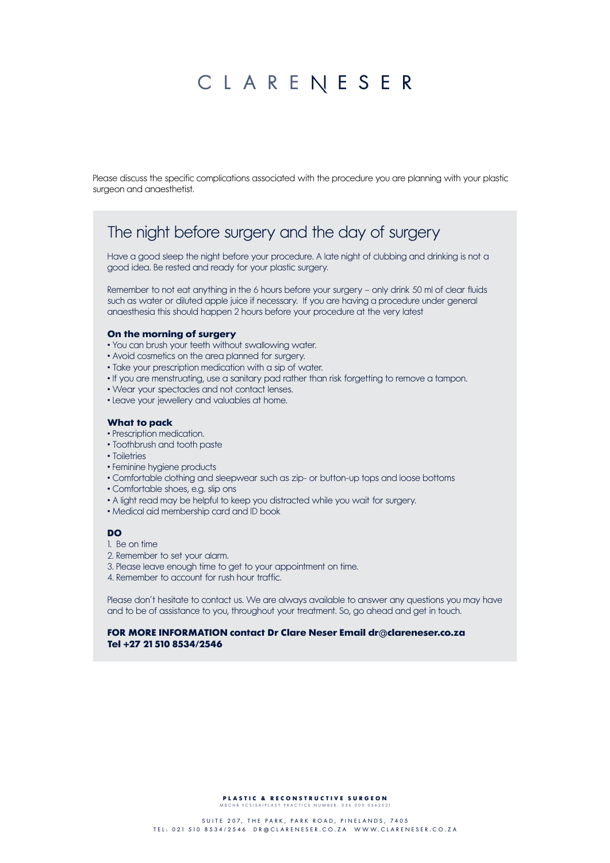Please discuss the specific complications associated with the procedure you are planning with your plastic surgeon and anaesthetist.

## The night before surgery and the day of surgery

Have a good sleep the night before your procedure. A late night of clubbing and drinking is not a good idea. Be rested and ready for your plastic surgery.

Remember to not eat anything in the 6 hours before your surgery – only drink 50 ml of clear fluids such as water or diluted apple juice if necessary. If you are having a procedure under general anaesthesia this should happen 2 hours before your procedure at the very latest

## **On the morning of surgery**

- You can brush your teeth without swallowing water.
- Avoid cosmetics on the area planned for surgery.
- Take your prescription medication with a sip of water.
- If you are menstruating, use a sanitary pad rather than risk forgetting to remove a tampon.
- Wear your spectacles and not contact lenses.
- Leave your jewellery and valuables at home.

## **What to pack**

- Prescription medication.
- Toothbrush and tooth paste
- Toiletries
- Feminine hygiene products
- Comfortable clothing and sleepwear such as zip- or button-up tops and loose bottoms
- Comfortable shoes, e.g. slip ons
- A light read may be helpful to keep you distracted while you wait for surgery.
- Medical aid membership card and ID book

## **DO**

- 1. Be on time
- 2. Remember to set your alarm.
- 3. Please leave enough time to get to your appointment on time.
- 4. Remember to account for rush hour traffic.

Please don't hesitate to contact us. We are always available to answer any questions you may have and to be of assistance to you, throughout your treatment. So, go ahead and get in touch.

## **FOR MORE INFORMATION contact Dr Clare Neser Email dr@clareneser.co.za Tel +27 21 510 8534/2546**

**PLASTIC & RECONSTRUCTIVE SURGEON**<br>MBCHB FCSISAIPLAST PRACTICE NUMBER: 036 000 0562521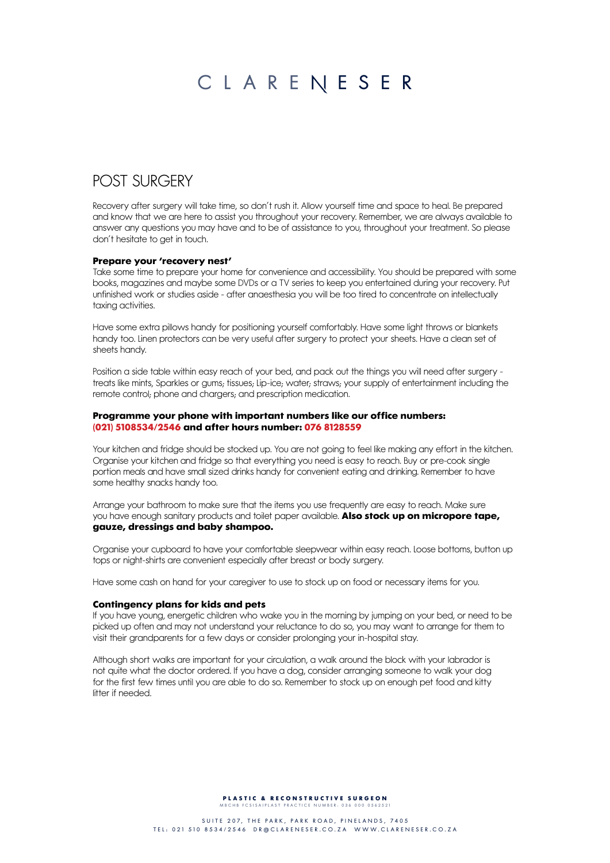## POST SURGERY

Recovery after surgery will take time, so don't rush it. Allow yourself time and space to heal. Be prepared and know that we are here to assist you throughout your recovery. Remember, we are always available to answer any questions you may have and to be of assistance to you, throughout your treatment. So please don't hesitate to get in touch.

## **Prepare your 'recovery nest'**

Take some time to prepare your home for convenience and accessibility. You should be prepared with some books, magazines and maybe some DVDs or a TV series to keep you entertained during your recovery. Put unfinished work or studies aside - after anaesthesia you will be too tired to concentrate on intellectually taxing activities.

Have some extra pillows handy for positioning yourself comfortably. Have some light throws or blankets handy too. Linen protectors can be very useful after surgery to protect your sheets. Have a clean set of sheets handy.

Position a side table within easy reach of your bed, and pack out the things you will need after surgery treats like mints, Sparkles or gums; tissues; Lip-ice; water; straws; your supply of entertainment including the remote control; phone and chargers; and prescription medication.

## **Programme your phone with important numbers like our office numbers: (021) 5108534/2546 and after hours number: 076 8128559**

Your kitchen and fridge should be stocked up. You are not going to feel like making any effort in the kitchen. Organise your kitchen and fridge so that everything you need is easy to reach. Buy or pre-cook single portion meals and have small sized drinks handy for convenient eating and drinking. Remember to have some healthy snacks handy too.

Arrange your bathroom to make sure that the items you use frequently are easy to reach. Make sure you have enough sanitary products and toilet paper available. **also stock up on micropore tape, gauze, dressings and baby shampoo.**

Organise your cupboard to have your comfortable sleepwear within easy reach. Loose bottoms, button up tops or night-shirts are convenient especially after breast or body surgery.

Have some cash on hand for your caregiver to use to stock up on food or necessary items for you.

## **contingency plans for kids and pets**

If you have young, energetic children who wake you in the morning by jumping on your bed, or need to be picked up often and may not understand your reluctance to do so, you may want to arrange for them to visit their grandparents for a few days or consider prolonging your in-hospital stay.

Although short walks are important for your circulation, a walk around the block with your labrador is not quite what the doctor ordered. If you have a dog, consider arranging someone to walk your dog for the first few times until you are able to do so. Remember to stock up on enough pet food and kitty litter if needed.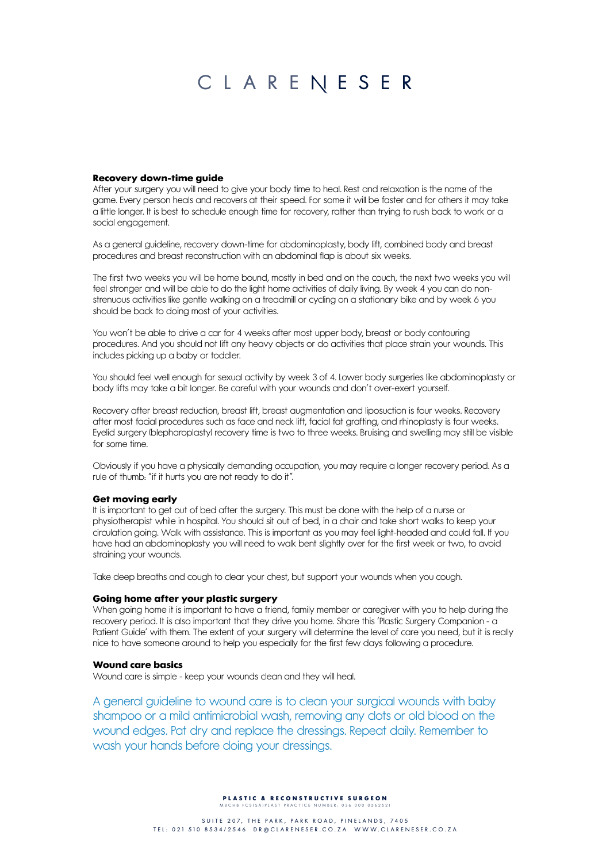## **Recovery down-time guide**

After your surgery you will need to give your body time to heal. Rest and relaxation is the name of the game. Every person heals and recovers at their speed. For some it will be faster and for others it may take a little longer. It is best to schedule enough time for recovery, rather than trying to rush back to work or a social engagement.

As a general guideline, recovery down-time for abdominoplasty, body lift, combined body and breast procedures and breast reconstruction with an abdominal flap is about six weeks.

The first two weeks you will be home bound, mostly in bed and on the couch, the next two weeks you will feel stronger and will be able to do the light home activities of daily living. By week 4 you can do nonstrenuous activities like gentle walking on a treadmill or cycling on a stationary bike and by week 6 you should be back to doing most of your activities.

You won't be able to drive a car for 4 weeks after most upper body, breast or body contouring procedures. And you should not lift any heavy objects or do activities that place strain your wounds. This includes picking up a baby or toddler.

You should feel well enough for sexual activity by week 3 of 4. Lower body surgeries like abdominoplasty or body lifts may take a bit longer. Be careful with your wounds and don't over-exert yourself.

Recovery after breast reduction, breast lift, breast augmentation and liposuction is four weeks. Recovery after most facial procedures such as face and neck lift, facial fat grafting, and rhinoplasty is four weeks. Eyelid surgery (blepharoplasty) recovery time is two to three weeks. Bruising and swelling may still be visible for some time.

Obviously if you have a physically demanding occupation, you may require a longer recovery period. As a rule of thumb: "if it hurts you are not ready to do it".

## **Get moving early**

It is important to get out of bed after the surgery. This must be done with the help of a nurse or physiotherapist while in hospital. You should sit out of bed, in a chair and take short walks to keep your circulation going. Walk with assistance. This is important as you may feel light-headed and could fall. If you have had an abdominoplasty you will need to walk bent slightly over for the first week or two, to avoid straining your wounds.

Take deep breaths and cough to clear your chest, but support your wounds when you cough.

## **Going home after your plastic surgery**

When going home it is important to have a friend, family member or caregiver with you to help during the recovery period. It is also important that they drive you home. Share this 'Plastic Surgery Companion - a Patient Guide' with them. The extent of your surgery will determine the level of care you need, but it is really nice to have someone around to help you especially for the first few days following a procedure.

## **Wound care basics**

Wound care is simple - keep your wounds clean and they will heal.

A general guideline to wound care is to clean your surgical wounds with baby shampoo or a mild antimicrobial wash, removing any clots or old blood on the wound edges. Pat dry and replace the dressings. Repeat daily. Remember to wash your hands before doing your dressings.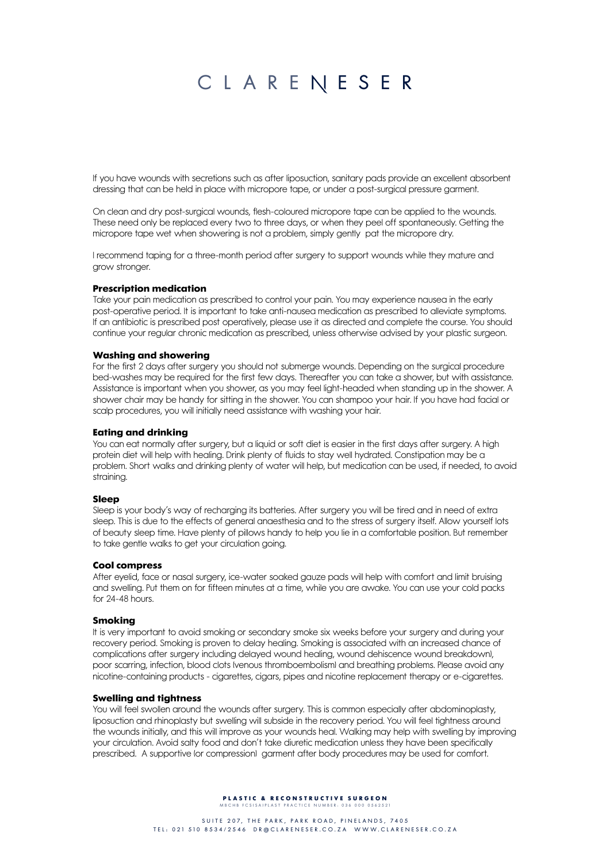If you have wounds with secretions such as after liposuction, sanitary pads provide an excellent absorbent dressing that can be held in place with micropore tape, or under a post-surgical pressure garment.

On clean and dry post-surgical wounds, flesh-coloured micropore tape can be applied to the wounds. These need only be replaced every two to three days, or when they peel off spontaneously. Getting the micropore tape wet when showering is not a problem, simply gently pat the micropore dry.

I recommend taping for a three-month period after surgery to support wounds while they mature and grow stronger.

## **Prescription medication**

Take your pain medication as prescribed to control your pain. You may experience nausea in the early post-operative period. It is important to take anti-nausea medication as prescribed to alleviate symptoms. If an antibiotic is prescribed post operatively, please use it as directed and complete the course. You should continue your regular chronic medication as prescribed, unless otherwise advised by your plastic surgeon.

## **Washing and showering**

For the first 2 days after surgery you should not submerge wounds. Depending on the surgical procedure bed-washes may be required for the first few days. Thereafter you can take a shower, but with assistance. Assistance is important when you shower, as you may feel light-headed when standing up in the shower. A shower chair may be handy for sitting in the shower. You can shampoo your hair. If you have had facial or scalp procedures, you will initially need assistance with washing your hair.

## **Eating and drinking**

You can eat normally after surgery, but a liquid or soft diet is easier in the first days after surgery. A high protein diet will help with healing. Drink plenty of fluids to stay well hydrated. Constipation may be a problem. Short walks and drinking plenty of water will help, but medication can be used, if needed, to avoid straining.

## **Sleep**

Sleep is your body's way of recharging its batteries. After surgery you will be tired and in need of extra sleep. This is due to the effects of general anaesthesia and to the stress of surgery itself. Allow yourself lots of beauty sleep time. Have plenty of pillows handy to help you lie in a comfortable position. But remember to take gentle walks to get your circulation going.

## **Cool compress**

After eyelid, face or nasal surgery, ice-water soaked gauze pads will help with comfort and limit bruising and swelling. Put them on for fifteen minutes at a time, while you are awake. You can use your cold packs for 24-48 hours.

### **Smoking**

It is very important to avoid smoking or secondary smoke six weeks before your surgery and during your recovery period. Smoking is proven to delay healing. Smoking is associated with an increased chance of complications after surgery including delayed wound healing, wound dehiscence wound breakdown), poor scarring, infection, blood clots (venous thromboembolism) and breathing problems. Please avoid any nicotine-containing products - cigarettes, cigars, pipes and nicotine replacement therapy or e-cigarettes.

### **Swelling and tightness**

You will feel swollen around the wounds after surgery. This is common especially after abdominoplasty, liposuction and rhinoplasty but swelling will subside in the recovery period. You will feel tightness around the wounds initially, and this will improve as your wounds heal. Walking may help with swelling by improving your circulation. Avoid salty food and don't take diuretic medication unless they have been specifically prescribed. A supportive (or compression) garment after body procedures may be used for comfort.